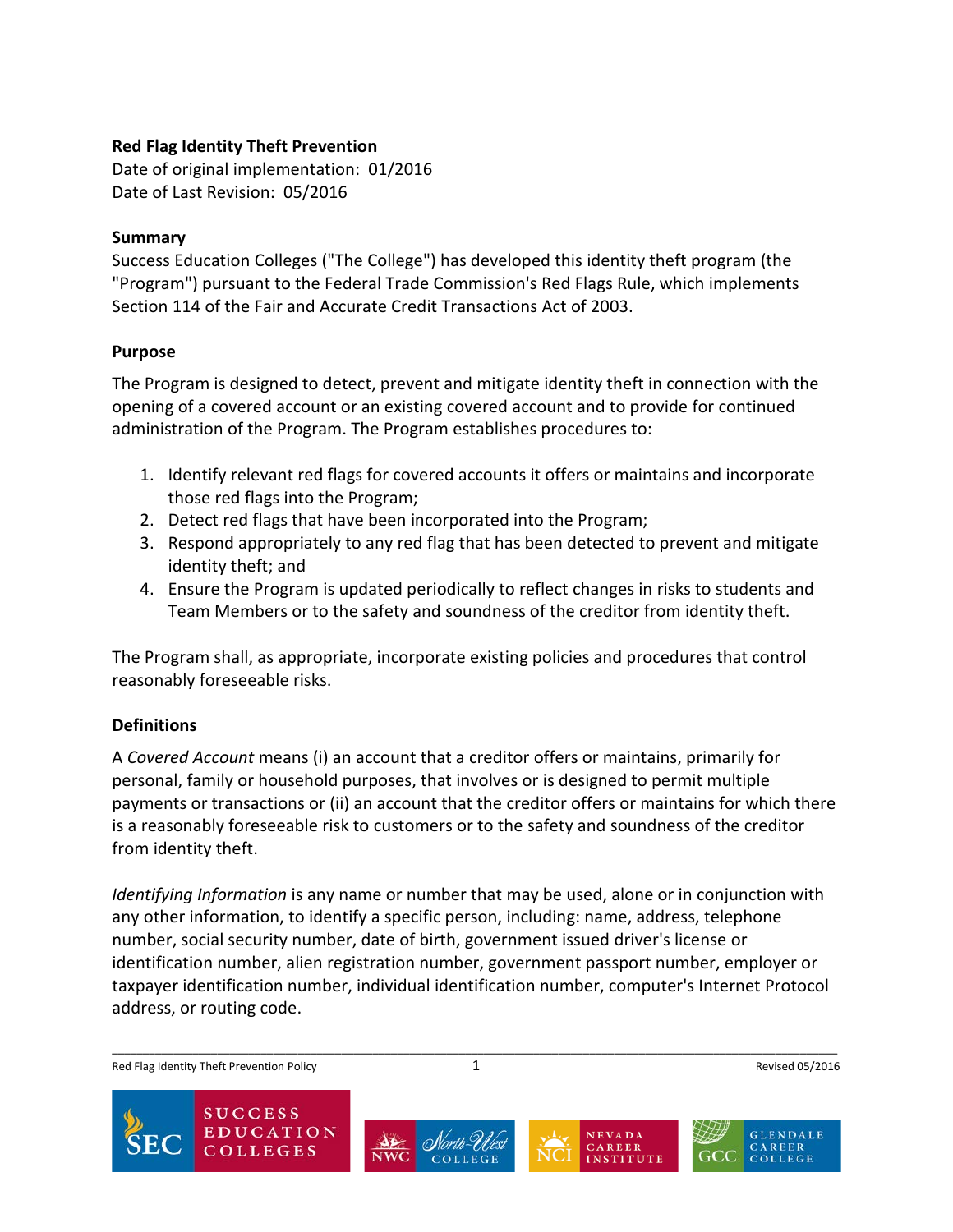## **Red Flag Identity Theft Prevention**

Date of original implementation: 01/2016 Date of Last Revision: 05/2016

#### **Summary**

Success Education Colleges ("The College") has developed this identity theft program (the "Program") pursuant to the Federal Trade Commission's Red Flags Rule, which implements Section 114 of the Fair and Accurate Credit Transactions Act of 2003.

## **Purpose**

The Program is designed to detect, prevent and mitigate identity theft in connection with the opening of a covered account or an existing covered account and to provide for continued administration of the Program. The Program establishes procedures to:

- 1. Identify relevant red flags for covered accounts it offers or maintains and incorporate those red flags into the Program;
- 2. Detect red flags that have been incorporated into the Program;
- 3. Respond appropriately to any red flag that has been detected to prevent and mitigate identity theft; and
- 4. Ensure the Program is updated periodically to reflect changes in risks to students and Team Members or to the safety and soundness of the creditor from identity theft.

The Program shall, as appropriate, incorporate existing policies and procedures that control reasonably foreseeable risks.

# **Definitions**

A *Covered Account* means (i) an account that a creditor offers or maintains, primarily for personal, family or household purposes, that involves or is designed to permit multiple payments or transactions or (ii) an account that the creditor offers or maintains for which there is a reasonably foreseeable risk to customers or to the safety and soundness of the creditor from identity theft.

*Identifying Information* is any name or number that may be used, alone or in conjunction with any other information, to identify a specific person, including: name, address, telephone number, social security number, date of birth, government issued driver's license or identification number, alien registration number, government passport number, employer or taxpayer identification number, individual identification number, computer's Internet Protocol address, or routing code.

Red Flag Identity Theft Prevention Policy **1** 2 Revised 05/2016





 $\overline{\phantom{a}}$ 



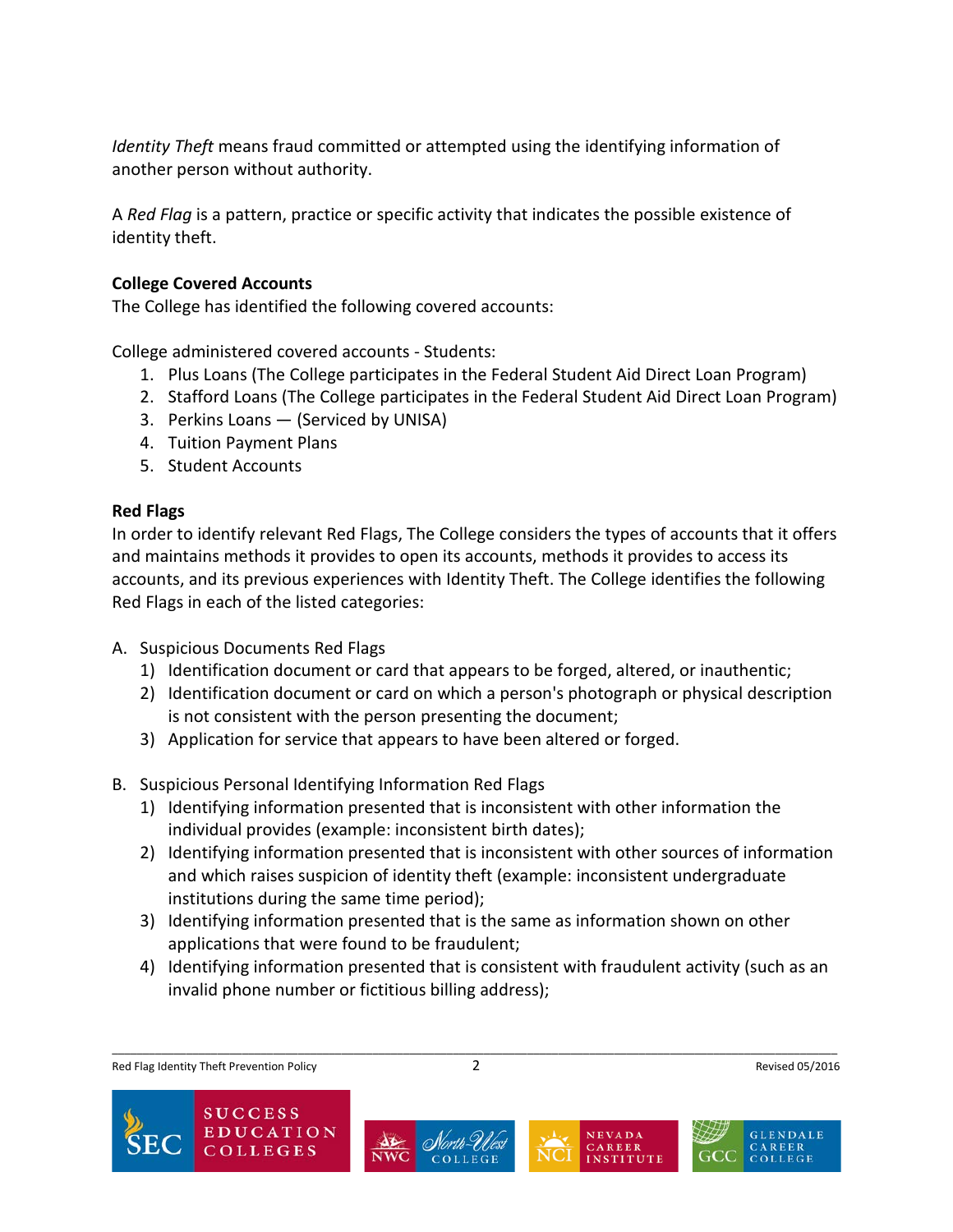*Identity Theft* means fraud committed or attempted using the identifying information of another person without authority.

A *Red Flag* is a pattern, practice or specific activity that indicates the possible existence of identity theft.

#### **College Covered Accounts**

The College has identified the following covered accounts:

College administered covered accounts - Students:

- 1. Plus Loans (The College participates in the Federal Student Aid Direct Loan Program)
- 2. Stafford Loans (The College participates in the Federal Student Aid Direct Loan Program)
- 3. Perkins Loans (Serviced by UNISA)
- 4. Tuition Payment Plans
- 5. Student Accounts

## **Red Flags**

In order to identify relevant Red Flags, The College considers the types of accounts that it offers and maintains methods it provides to open its accounts, methods it provides to access its accounts, and its previous experiences with Identity Theft. The College identifies the following Red Flags in each of the listed categories:

- A. Suspicious Documents Red Flags
	- 1) Identification document or card that appears to be forged, altered, or inauthentic;
	- 2) Identification document or card on which a person's photograph or physical description is not consistent with the person presenting the document;
	- 3) Application for service that appears to have been altered or forged.
- B. Suspicious Personal Identifying Information Red Flags
	- 1) Identifying information presented that is inconsistent with other information the individual provides (example: inconsistent birth dates);
	- 2) Identifying information presented that is inconsistent with other sources of information and which raises suspicion of identity theft (example: inconsistent undergraduate institutions during the same time period);
	- 3) Identifying information presented that is the same as information shown on other applications that were found to be fraudulent;
	- 4) Identifying information presented that is consistent with fraudulent activity (such as an invalid phone number or fictitious billing address);

Red Flag Identity Theft Prevention Policy **2** 2 and 2008 and 2008 and 2008 and 2008 and 2008 and 2008 and 2008 and 2008 and 2008 and 2008 and 2008 and 2008 and 2008 and 2008 and 2008 and 2008 and 2008 and 2008 and 2008 and







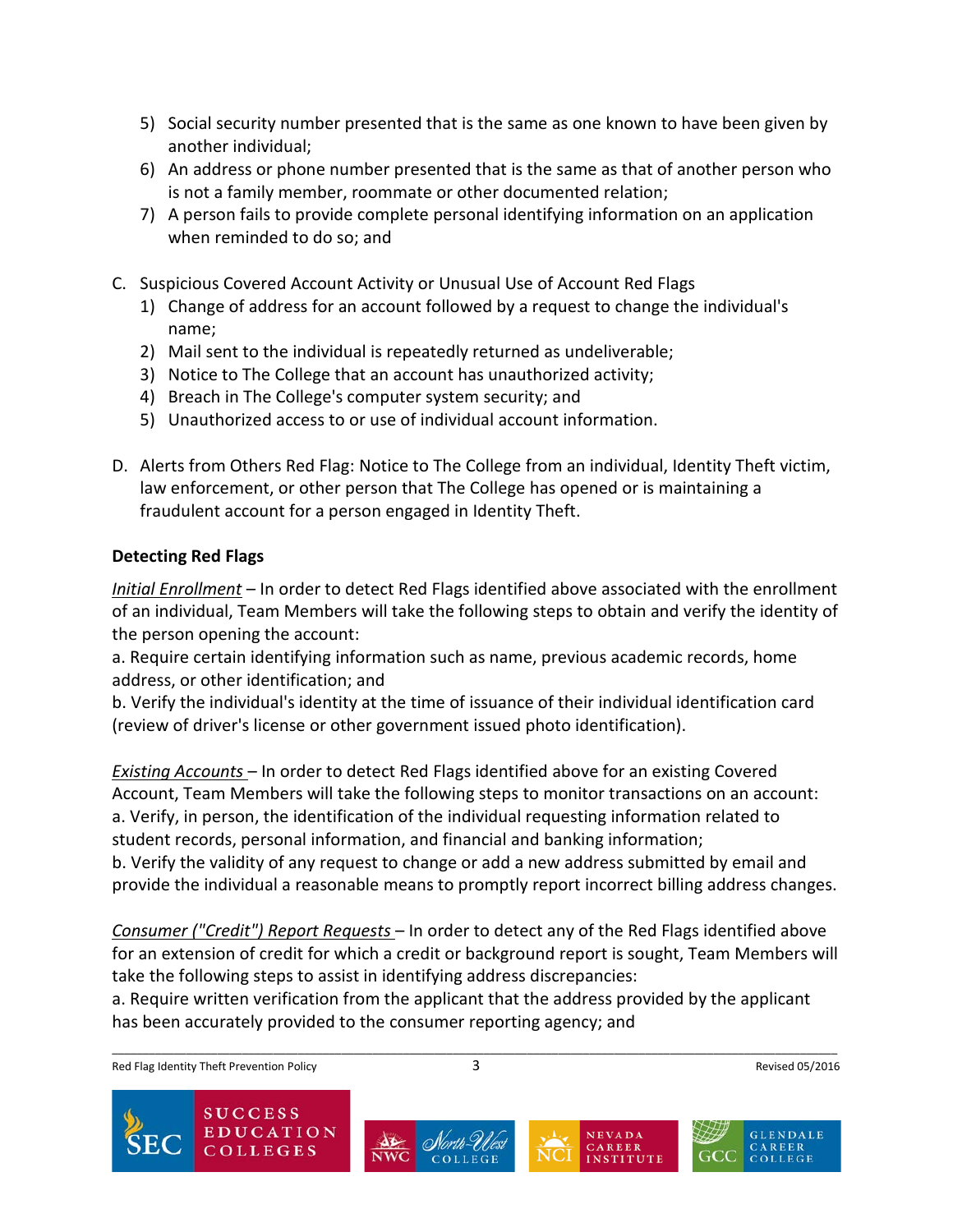- 5) Social security number presented that is the same as one known to have been given by another individual;
- 6) An address or phone number presented that is the same as that of another person who is not a family member, roommate or other documented relation;
- 7) A person fails to provide complete personal identifying information on an application when reminded to do so; and
- C. Suspicious Covered Account Activity or Unusual Use of Account Red Flags
	- 1) Change of address for an account followed by a request to change the individual's name;
	- 2) Mail sent to the individual is repeatedly returned as undeliverable;
	- 3) Notice to The College that an account has unauthorized activity;
	- 4) Breach in The College's computer system security; and
	- 5) Unauthorized access to or use of individual account information.
- D. Alerts from Others Red Flag: Notice to The College from an individual, Identity Theft victim, law enforcement, or other person that The College has opened or is maintaining a fraudulent account for a person engaged in Identity Theft.

## **Detecting Red Flags**

*Initial Enrollment* – In order to detect Red Flags identified above associated with the enrollment of an individual, Team Members will take the following steps to obtain and verify the identity of the person opening the account:

a. Require certain identifying information such as name, previous academic records, home address, or other identification; and

b. Verify the individual's identity at the time of issuance of their individual identification card (review of driver's license or other government issued photo identification).

*Existing Accounts* – In order to detect Red Flags identified above for an existing Covered Account, Team Members will take the following steps to monitor transactions on an account: a. Verify, in person, the identification of the individual requesting information related to student records, personal information, and financial and banking information; b. Verify the validity of any request to change or add a new address submitted by email and

provide the individual a reasonable means to promptly report incorrect billing address changes.

*Consumer ("Credit") Report Requests* – In order to detect any of the Red Flags identified above for an extension of credit for which a credit or background report is sought, Team Members will take the following steps to assist in identifying address discrepancies:

a. Require written verification from the applicant that the address provided by the applicant has been accurately provided to the consumer reporting agency; and

Red Flag Identity Theft Prevention Policy **3** 2008 3 Revised 05/2016







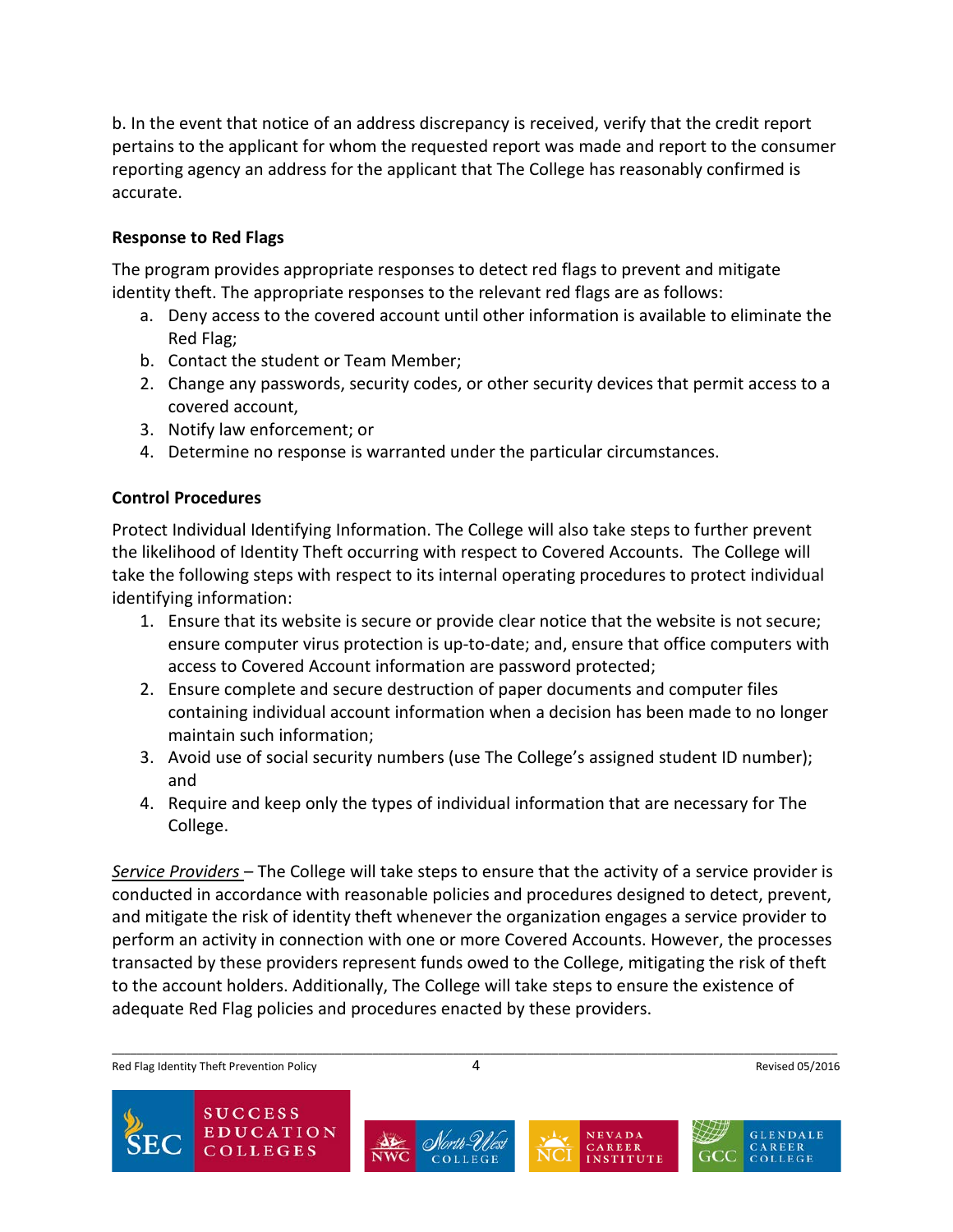b. In the event that notice of an address discrepancy is received, verify that the credit report pertains to the applicant for whom the requested report was made and report to the consumer reporting agency an address for the applicant that The College has reasonably confirmed is accurate.

## **Response to Red Flags**

The program provides appropriate responses to detect red flags to prevent and mitigate identity theft. The appropriate responses to the relevant red flags are as follows:

- a. Deny access to the covered account until other information is available to eliminate the Red Flag;
- b. Contact the student or Team Member;
- 2. Change any passwords, security codes, or other security devices that permit access to a covered account,
- 3. Notify law enforcement; or
- 4. Determine no response is warranted under the particular circumstances.

## **Control Procedures**

Protect Individual Identifying Information. The College will also take steps to further prevent the likelihood of Identity Theft occurring with respect to Covered Accounts. The College will take the following steps with respect to its internal operating procedures to protect individual identifying information:

- 1. Ensure that its website is secure or provide clear notice that the website is not secure; ensure computer virus protection is up-to-date; and, ensure that office computers with access to Covered Account information are password protected;
- 2. Ensure complete and secure destruction of paper documents and computer files containing individual account information when a decision has been made to no longer maintain such information;
- 3. Avoid use of social security numbers (use The College's assigned student ID number); and
- 4. Require and keep only the types of individual information that are necessary for The College.

*Service Providers* – The College will take steps to ensure that the activity of a service provider is conducted in accordance with reasonable policies and procedures designed to detect, prevent, and mitigate the risk of identity theft whenever the organization engages a service provider to perform an activity in connection with one or more Covered Accounts. However, the processes transacted by these providers represent funds owed to the College, mitigating the risk of theft to the account holders. Additionally, The College will take steps to ensure the existence of adequate Red Flag policies and procedures enacted by these providers.

\_\_\_\_\_\_\_\_\_\_\_\_\_\_\_\_\_\_\_\_\_\_\_\_\_\_\_\_\_\_\_\_\_\_\_\_\_\_\_\_\_\_\_\_\_\_\_\_\_\_\_\_\_\_\_\_\_\_\_\_\_\_\_\_\_\_\_\_\_\_\_\_\_\_\_\_\_\_\_\_\_\_\_\_\_\_\_\_\_\_\_\_\_\_\_\_\_\_\_\_\_\_\_\_\_\_\_\_\_\_\_\_\_\_\_\_\_

Red Flag Identity Theft Prevention Policy **ALCOCOL** 20016 4 Revised 05/2016

**EDUCATION COLLEGES** 





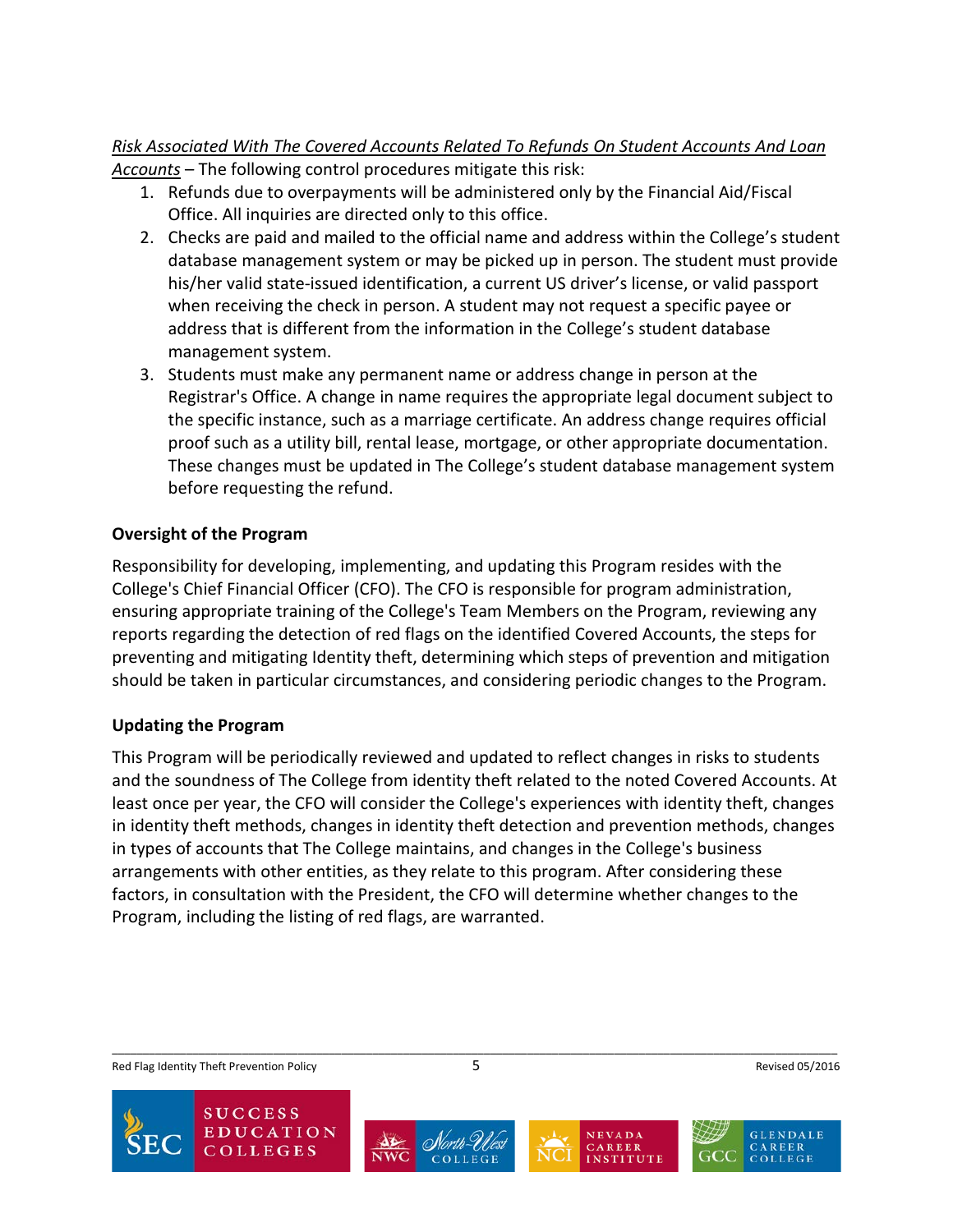## *Risk Associated With The Covered Accounts Related To Refunds On Student Accounts And Loan Accounts* – The following control procedures mitigate this risk:

- 1. Refunds due to overpayments will be administered only by the Financial Aid/Fiscal Office. All inquiries are directed only to this office.
- 2. Checks are paid and mailed to the official name and address within the College's student database management system or may be picked up in person. The student must provide his/her valid state-issued identification, a current US driver's license, or valid passport when receiving the check in person. A student may not request a specific payee or address that is different from the information in the College's student database management system.
- 3. Students must make any permanent name or address change in person at the Registrar's Office. A change in name requires the appropriate legal document subject to the specific instance, such as a marriage certificate. An address change requires official proof such as a utility bill, rental lease, mortgage, or other appropriate documentation. These changes must be updated in The College's student database management system before requesting the refund.

# **Oversight of the Program**

Responsibility for developing, implementing, and updating this Program resides with the College's Chief Financial Officer (CFO). The CFO is responsible for program administration, ensuring appropriate training of the College's Team Members on the Program, reviewing any reports regarding the detection of red flags on the identified Covered Accounts, the steps for preventing and mitigating Identity theft, determining which steps of prevention and mitigation should be taken in particular circumstances, and considering periodic changes to the Program.

# **Updating the Program**

This Program will be periodically reviewed and updated to reflect changes in risks to students and the soundness of The College from identity theft related to the noted Covered Accounts. At least once per year, the CFO will consider the College's experiences with identity theft, changes in identity theft methods, changes in identity theft detection and prevention methods, changes in types of accounts that The College maintains, and changes in the College's business arrangements with other entities, as they relate to this program. After considering these factors, in consultation with the President, the CFO will determine whether changes to the Program, including the listing of red flags, are warranted.

Red Flag Identity Theft Prevention Policy **1998** Revised 05/2016